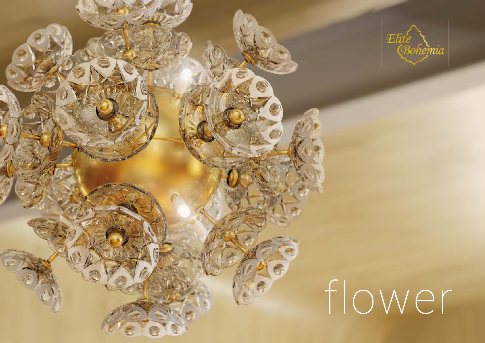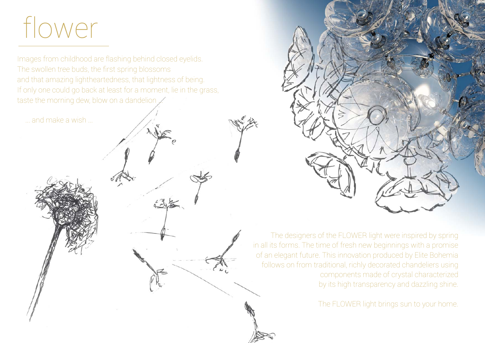## flower

Images from childhood are flashing behind closed eyelids. The swollen tree buds, the first spring blossoms and that amazing lightheartedness, that lightness of being. If only one could go back at least for a moment, lie in the grass, taste the morning dew, blow on a dandelion

... and make a wish

The designers of the FLOWER light were inspired by spring in all its forms. The time of fresh new beginnings with a promise of an elegant future. This innovation produced by Elite Bohemia follows on from traditional, richly decorated chandeliers using components made of crystal characterized by its high transparency and dazzling shine.

The FLOWER light brings sun to your home.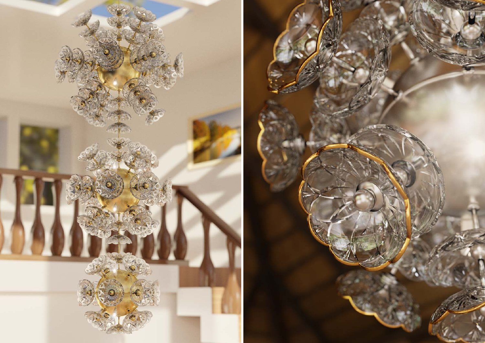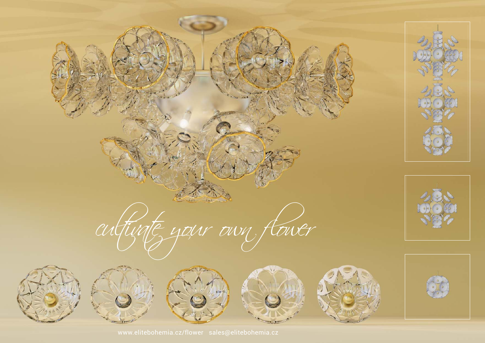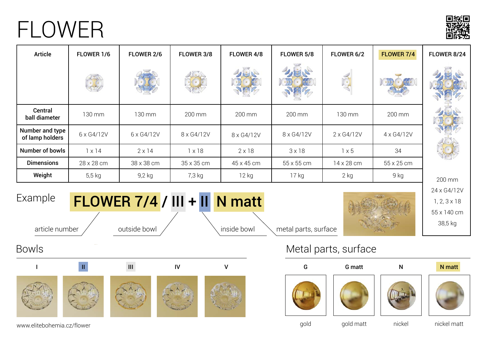## FLOWER



| Article                            | FLOWER 1/6    | FLOWER 2/6    | FLOWER 3/8    | FLOWER 4/8    | FLOWER 5/8    | FLOWER 6/2   | FLOWER 7/4 | FLOWER 8/24 |
|------------------------------------|---------------|---------------|---------------|---------------|---------------|--------------|------------|-------------|
|                                    |               |               |               |               |               | N.           |            |             |
| <b>Central</b><br>ball diameter    | 130 mm        | 130 mm        | 200 mm        | 200 mm        | 200 mm        | 130 mm       | 200 mm     |             |
| Number and type<br>of lamp holders | 6 x G4/12V    | 6 x G4/12V    | 8 x G4/12V    | 8 x G4/12V    | 8 x G4/12V    | 2 x G4/12V   | 4 x G4/12V |             |
| Number of bowls                    | $1 \times 14$ | $2 \times 14$ | $1 \times 18$ | $2 \times 18$ | $3 \times 18$ | $1 \times 5$ | 34         |             |
| <b>Dimensions</b>                  | 28 x 28 cm    | 38 x 38 cm    | 35 x 35 cm    | 45 x 45 cm    | 55 x 55 cm    | 14 x 28 cm   | 55 x 25 cm |             |
| Weight                             | $5,5$ kg      | 9,2 kg        | 7,3 kg        | 12 kg         | 17 kg         | $2$ kg       | 9 kg       | 200 mm      |